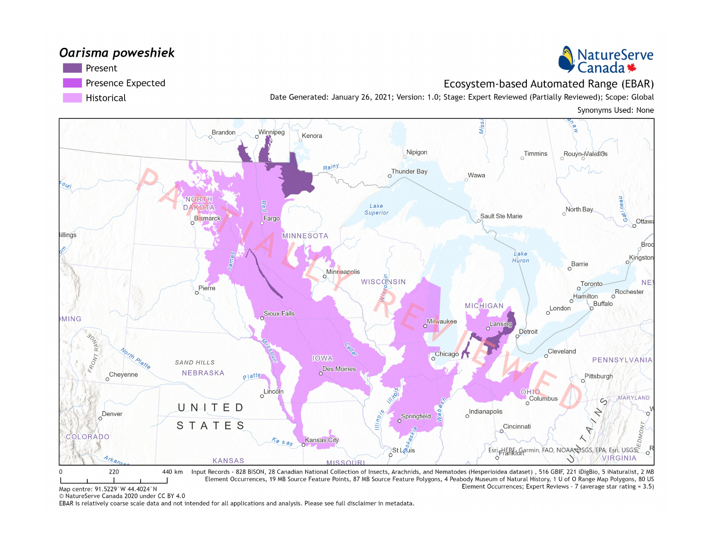#### Oarisma poweshiek





Historical

Ecosystem-based Automated Range (EBAR)

Date Generated: January 26, 2021; Version: 1.0; Stage: Expert Reviewed (Partially Reviewed); Scope: Global

Synonyms Used: None



Input Records - 828 BISON, 28 Canadian National Collection of Insects, Arachnids, and Nematodes (Hesperioidea dataset) , 516 GBIF, 221 iDigBio, 5 iNaturalist, 2 MB  $\Omega$ 220 440 km Element Occurrences, 19 MB Source Feature Points, 87 MB Source Feature Polygons, 4 Peabody Museum of Natural History, 1 U of O Range Map Polygons, 80 US Element Occurrences; Expert Reviews - 7 (average star rating = 3.5) Map centre: 91.5229°W 44.4024°N

© NatureServe Canada 2020 under CC BY 4.0

EBAR is relatively coarse scale data and not intended for all applications and analysis. Please see full disclaimer in metadata.

NatureServe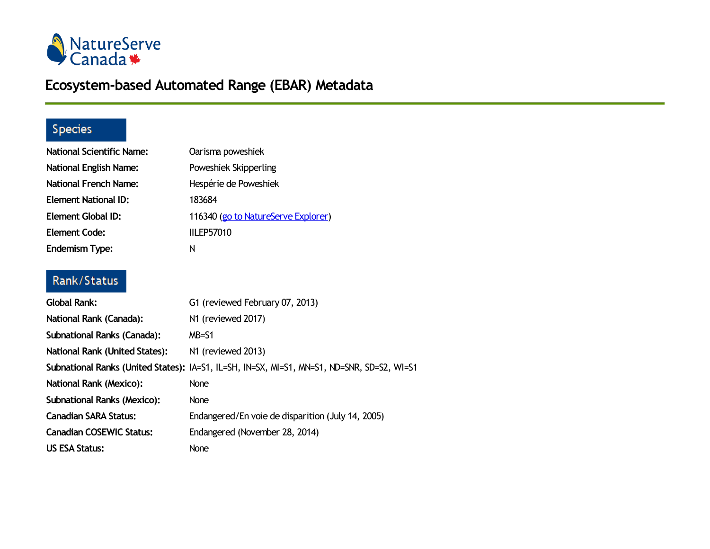

# **Ecosystem-based Automated Range (EBAR) Metadata**

## Species

| <b>National Scientific Name:</b> | Oarisma poweshiek                   |
|----------------------------------|-------------------------------------|
| <b>National English Name:</b>    | Poweshiek Skipperling               |
| <b>National French Name:</b>     | Hespérie de Poweshiek               |
| <b>Element National ID:</b>      | 183684                              |
| <b>Element Global ID:</b>        | 116340 (go to NatureServe Explorer) |
| <b>Element Code:</b>             | <b>IILEP57010</b>                   |
| <b>Endemism Type:</b>            | N                                   |

#### Rank/Status

| <b>Global Rank:</b>                   | G1 (reviewed February 07, 2013)                                                            |
|---------------------------------------|--------------------------------------------------------------------------------------------|
| National Rank (Canada):               | N1 (reviewed 2017)                                                                         |
| Subnational Ranks (Canada):           | $MB = S1$                                                                                  |
| <b>National Rank (United States):</b> | N1 (reviewed 2013)                                                                         |
|                                       | Subnational Ranks (United States): IA=S1, IL=SH, IN=SX, MI=S1, MN=S1, ND=SNR, SD=S2, WI=S1 |
| <b>National Rank (Mexico):</b>        | <b>None</b>                                                                                |
| <b>Subnational Ranks (Mexico):</b>    | <b>None</b>                                                                                |
| <b>Canadian SARA Status:</b>          | Endangered/En voie de disparition (July 14, 2005)                                          |
| <b>Canadian COSEWIC Status:</b>       | Endangered (November 28, 2014)                                                             |
| <b>US ESA Status:</b>                 | <b>None</b>                                                                                |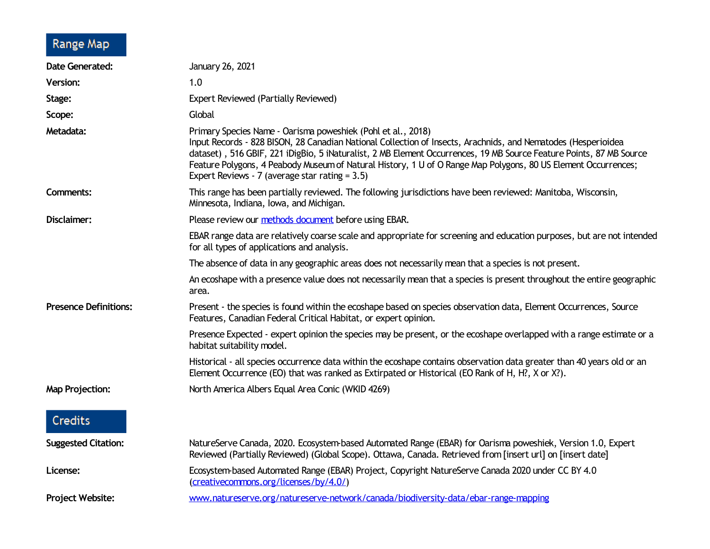## Range Map

| <b>Date Generated:</b>       | January 26, 2021                                                                                                                                                                                                                                                                                                                                                                                                                                                         |
|------------------------------|--------------------------------------------------------------------------------------------------------------------------------------------------------------------------------------------------------------------------------------------------------------------------------------------------------------------------------------------------------------------------------------------------------------------------------------------------------------------------|
| Version:                     | 1.0                                                                                                                                                                                                                                                                                                                                                                                                                                                                      |
| Stage:                       | Expert Reviewed (Partially Reviewed)                                                                                                                                                                                                                                                                                                                                                                                                                                     |
| Scope:                       | Global                                                                                                                                                                                                                                                                                                                                                                                                                                                                   |
| Metadata:                    | Primary Species Name - Oarisma poweshiek (Pohl et al., 2018)<br>Input Records - 828 BISON, 28 Canadian National Collection of Insects, Arachnids, and Nematodes (Hesperioidea<br>dataset), 516 GBIF, 221 iDigBio, 5 iNaturalist, 2 MB Element Occurrences, 19 MB Source Feature Points, 87 MB Source<br>Feature Polygons, 4 Peabody Museum of Natural History, 1 U of O Range Map Polygons, 80 US Element Occurrences;<br>Expert Reviews - 7 (average star rating = 3.5) |
| Comments:                    | This range has been partially reviewed. The following jurisdictions have been reviewed: Manitoba, Wisconsin,<br>Minnesota, Indiana, Iowa, and Michigan.                                                                                                                                                                                                                                                                                                                  |
| Disclaimer:                  | Please review our methods document before using EBAR.                                                                                                                                                                                                                                                                                                                                                                                                                    |
|                              | EBAR range data are relatively coarse scale and appropriate for screening and education purposes, but are not intended<br>for all types of applications and analysis.                                                                                                                                                                                                                                                                                                    |
|                              | The absence of data in any geographic areas does not necessarily mean that a species is not present.                                                                                                                                                                                                                                                                                                                                                                     |
|                              | An ecoshape with a presence value does not necessarily mean that a species is present throughout the entire geographic<br>area.                                                                                                                                                                                                                                                                                                                                          |
| <b>Presence Definitions:</b> | Present - the species is found within the ecoshape based on species observation data, Element Occurrences, Source<br>Features, Canadian Federal Critical Habitat, or expert opinion.                                                                                                                                                                                                                                                                                     |
|                              | Presence Expected - expert opinion the species may be present, or the ecoshape overlapped with a range estimate or a<br>habitat suitability model.                                                                                                                                                                                                                                                                                                                       |
|                              | Historical - all species occurrence data within the ecoshape contains observation data greater than 40 years old or an<br>Element Occurrence (EO) that was ranked as Extirpated or Historical (EO Rank of H, H?, X or X?).                                                                                                                                                                                                                                               |
| <b>Map Projection:</b>       | North America Albers Equal Area Conic (WKID 4269)                                                                                                                                                                                                                                                                                                                                                                                                                        |
| Credits                      |                                                                                                                                                                                                                                                                                                                                                                                                                                                                          |
| <b>Suggested Citation:</b>   | NatureServe Canada, 2020. Ecosystem-based Automated Range (EBAR) for Oarisma poweshiek, Version 1.0, Expert<br>Reviewed (Partially Reviewed) (Global Scope). Ottawa, Canada. Retrieved from [insert url] on [insert date]                                                                                                                                                                                                                                                |
| License:                     | Ecosystem-based Automated Range (EBAR) Project, Copyright NatureServe Canada 2020 under CC BY 4.0<br>(creativecommons.org/licenses/by/4.0/)                                                                                                                                                                                                                                                                                                                              |

**Project Website:** [www.natureserve.org/natureserve-network/canada/biodiversity-data/ebar-range-mapping](https://www.natureserve.org/natureserve-network/canada/biodiversity-data/ebar-range-mapping)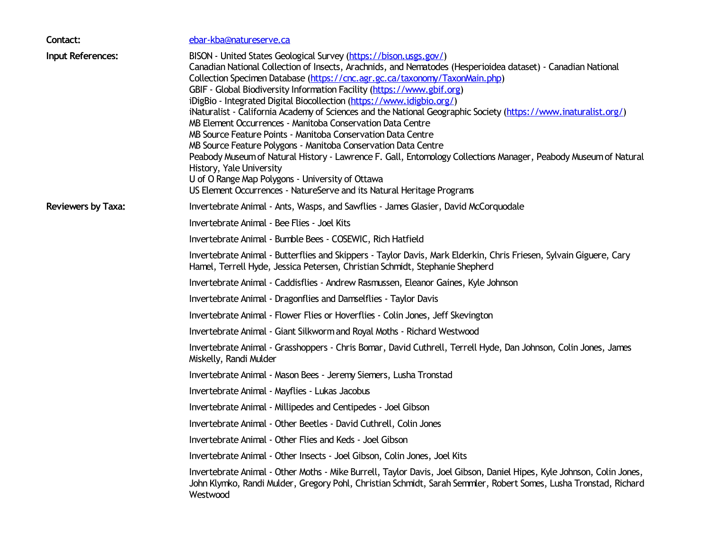| Contact:                  | ebar-kba@natureserve.ca                                                                                                                                                                                                                                                                                                                                                                                                                                                                                                                                                                                                                                                                                                                                                                                                                                                                                                                                                                                             |
|---------------------------|---------------------------------------------------------------------------------------------------------------------------------------------------------------------------------------------------------------------------------------------------------------------------------------------------------------------------------------------------------------------------------------------------------------------------------------------------------------------------------------------------------------------------------------------------------------------------------------------------------------------------------------------------------------------------------------------------------------------------------------------------------------------------------------------------------------------------------------------------------------------------------------------------------------------------------------------------------------------------------------------------------------------|
| Input References:         | BISON - United States Geological Survey (https://bison.usgs.gov/)<br>Canadian National Collection of Insects, Arachnids, and Nematodes (Hesperioidea dataset) - Canadian National<br>Collection Specimen Database (https://cnc.agr.gc.ca/taxonomy/TaxonMain.php)<br>GBIF - Global Biodiversity Information Facility (https://www.gbif.org)<br>iDigBio - Integrated Digital Biocollection (https://www.idigbio.org/)<br>iNaturalist - California Academy of Sciences and the National Geographic Society (https://www.inaturalist.org/)<br>MB Element Occurrences - Manitoba Conservation Data Centre<br>MB Source Feature Points - Manitoba Conservation Data Centre<br>MB Source Feature Polygons - Manitoba Conservation Data Centre<br>Peabody Museum of Natural History - Lawrence F. Gall, Entomology Collections Manager, Peabody Museum of Natural<br>History, Yale University<br>U of O Range Map Polygons - University of Ottawa<br>US Element Occurrences - NatureServe and its Natural Heritage Programs |
| <b>Reviewers by Taxa:</b> | Invertebrate Animal - Ants, Wasps, and Sawflies - James Glasier, David McCorquodale                                                                                                                                                                                                                                                                                                                                                                                                                                                                                                                                                                                                                                                                                                                                                                                                                                                                                                                                 |
|                           | Invertebrate Animal - Bee Flies - Joel Kits                                                                                                                                                                                                                                                                                                                                                                                                                                                                                                                                                                                                                                                                                                                                                                                                                                                                                                                                                                         |
|                           | Invertebrate Animal - Bumble Bees - COSEWIC, Rich Hatfield                                                                                                                                                                                                                                                                                                                                                                                                                                                                                                                                                                                                                                                                                                                                                                                                                                                                                                                                                          |
|                           | Invertebrate Animal - Butterflies and Skippers - Taylor Davis, Mark Elderkin, Chris Friesen, Sylvain Giguere, Cary<br>Hamel, Terrell Hyde, Jessica Petersen, Christian Schmidt, Stephanie Shepherd                                                                                                                                                                                                                                                                                                                                                                                                                                                                                                                                                                                                                                                                                                                                                                                                                  |
|                           | Invertebrate Animal - Caddisflies - Andrew Rasmussen, Eleanor Gaines, Kyle Johnson                                                                                                                                                                                                                                                                                                                                                                                                                                                                                                                                                                                                                                                                                                                                                                                                                                                                                                                                  |
|                           | Invertebrate Animal - Dragonflies and Damselflies - Taylor Davis                                                                                                                                                                                                                                                                                                                                                                                                                                                                                                                                                                                                                                                                                                                                                                                                                                                                                                                                                    |
|                           | Invertebrate Animal - Flower Flies or Hoverflies - Colin Jones, Jeff Skevington                                                                                                                                                                                                                                                                                                                                                                                                                                                                                                                                                                                                                                                                                                                                                                                                                                                                                                                                     |
|                           | Invertebrate Animal - Giant Silkworm and Royal Moths - Richard Westwood                                                                                                                                                                                                                                                                                                                                                                                                                                                                                                                                                                                                                                                                                                                                                                                                                                                                                                                                             |
|                           | Invertebrate Animal - Grasshoppers - Chris Bomar, David Cuthrell, Terrell Hyde, Dan Johnson, Colin Jones, James<br>Miskelly, Randi Mulder                                                                                                                                                                                                                                                                                                                                                                                                                                                                                                                                                                                                                                                                                                                                                                                                                                                                           |
|                           | Invertebrate Animal - Mason Bees - Jeremy Siemers, Lusha Tronstad                                                                                                                                                                                                                                                                                                                                                                                                                                                                                                                                                                                                                                                                                                                                                                                                                                                                                                                                                   |
|                           | Invertebrate Animal - Mayflies - Lukas Jacobus                                                                                                                                                                                                                                                                                                                                                                                                                                                                                                                                                                                                                                                                                                                                                                                                                                                                                                                                                                      |
|                           | Invertebrate Animal - Millipedes and Centipedes - Joel Gibson                                                                                                                                                                                                                                                                                                                                                                                                                                                                                                                                                                                                                                                                                                                                                                                                                                                                                                                                                       |
|                           | Invertebrate Animal - Other Beetles - David Cuthrell, Colin Jones                                                                                                                                                                                                                                                                                                                                                                                                                                                                                                                                                                                                                                                                                                                                                                                                                                                                                                                                                   |
|                           | Invertebrate Animal - Other Flies and Keds - Joel Gibson                                                                                                                                                                                                                                                                                                                                                                                                                                                                                                                                                                                                                                                                                                                                                                                                                                                                                                                                                            |
|                           | Invertebrate Animal - Other Insects - Joel Gibson, Colin Jones, Joel Kits                                                                                                                                                                                                                                                                                                                                                                                                                                                                                                                                                                                                                                                                                                                                                                                                                                                                                                                                           |
|                           | Invertebrate Animal - Other Moths - Mike Burrell, Taylor Davis, Joel Gibson, Daniel Hipes, Kyle Johnson, Colin Jones,<br>John Klymko, Randi Mulder, Gregory Pohl, Christian Schmidt, Sarah Semmler, Robert Somes, Lusha Tronstad, Richard<br>Westwood                                                                                                                                                                                                                                                                                                                                                                                                                                                                                                                                                                                                                                                                                                                                                               |